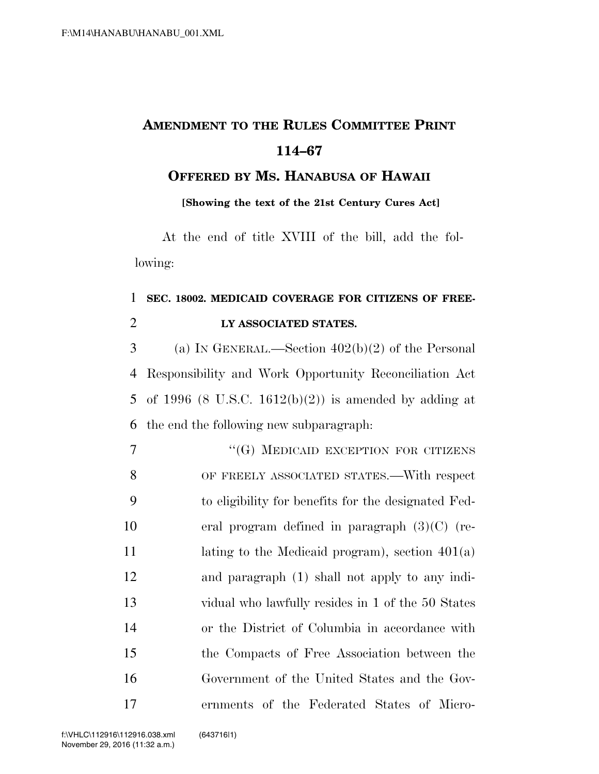## **AMENDMENT TO THE RULES COMMITTEE PRINT 114–67**

**OFFERED BY MS. HANABUSA OF HAWAII**

**[Showing the text of the 21st Century Cures Act]**

At the end of title XVIII of the bill, add the following:

## 1 **SEC. 18002. MEDICAID COVERAGE FOR CITIZENS OF FREE-**2 **LY ASSOCIATED STATES.**

 (a) IN GENERAL.—Section 402(b)(2) of the Personal Responsibility and Work Opportunity Reconciliation Act of 1996 (8 U.S.C. 1612(b)(2)) is amended by adding at the end the following new subparagraph:

7 "(G) MEDICAID EXCEPTION FOR CITIZENS OF FREELY ASSOCIATED STATES.—With respect to eligibility for benefits for the designated Fed- eral program defined in paragraph (3)(C) (re-11 lating to the Medicaid program), section 401(a) and paragraph (1) shall not apply to any indi- vidual who lawfully resides in 1 of the 50 States or the District of Columbia in accordance with the Compacts of Free Association between the Government of the United States and the Gov-ernments of the Federated States of Micro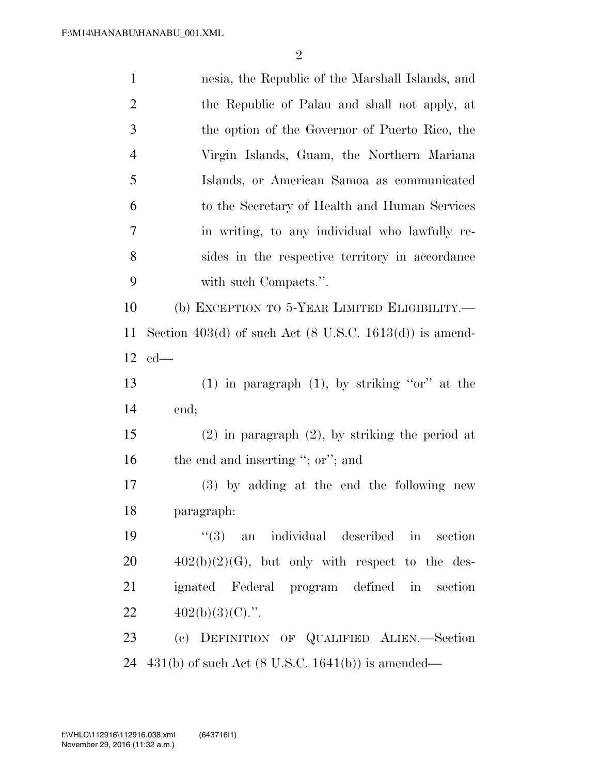| $\mathbf{1}$   | nesia, the Republic of the Marshall Islands, and                   |
|----------------|--------------------------------------------------------------------|
| $\overline{2}$ | the Republic of Palau and shall not apply, at                      |
| 3              | the option of the Governor of Puerto Rico, the                     |
| $\overline{4}$ | Virgin Islands, Guam, the Northern Mariana                         |
| 5              | Islands, or American Samoa as communicated                         |
| 6              | to the Secretary of Health and Human Services                      |
| $\tau$         | in writing, to any individual who lawfully re-                     |
| $8\,$          | sides in the respective territory in accordance                    |
| 9              | with such Compacts.".                                              |
| 10             | (b) EXCEPTION TO 5-YEAR LIMITED ELIGIBILITY.—                      |
| 11             | Section 403(d) of such Act $(8 \text{ U.S.C. } 1613(d))$ is amend- |
| 12             | $ed$ —                                                             |
| 13             | $(1)$ in paragraph $(1)$ , by striking "or" at the                 |
| 14             | end;                                                               |
| 15             | $(2)$ in paragraph $(2)$ , by striking the period at               |
| 16             | the end and inserting "; or"; and                                  |
| 17             | (3) by adding at the end the following new                         |
| 18             | paragraph:                                                         |
| 19             | $(3)$ an individual described in<br>section                        |
| 20             | $402(b)(2)(G)$ , but only with respect to the des-                 |
| 21             | ignated Federal program defined in section                         |
| 22             | $402(b)(3)(C)$ .".                                                 |
| 23             | (c) DEFINITION OF QUALIFIED ALIEN.-Section                         |
| 24             | $431(b)$ of such Act $(8 \text{ U.S.C. } 1641(b))$ is amended—     |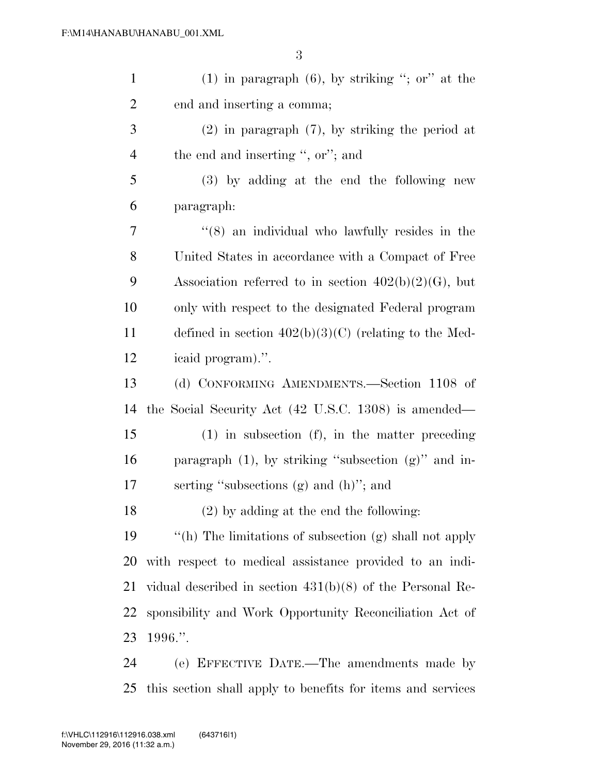| $\mathbf{1}$   | $(1)$ in paragraph $(6)$ , by striking "; or" at the            |
|----------------|-----------------------------------------------------------------|
| $\overline{2}$ | end and inserting a comma;                                      |
| 3              | $(2)$ in paragraph $(7)$ , by striking the period at            |
| $\overline{4}$ | the end and inserting ", or"; and                               |
| 5              | $(3)$ by adding at the end the following new                    |
| 6              | paragraph:                                                      |
| 7              | $(8)$ an individual who lawfully resides in the                 |
| 8              | United States in accordance with a Compact of Free              |
| 9              | Association referred to in section $402(b)(2)(G)$ , but         |
| 10             | only with respect to the designated Federal program             |
| 11             | defined in section $402(b)(3)(C)$ (relating to the Med-         |
| 12             | icaid program).".                                               |
| 13             | (d) CONFORMING AMENDMENTS.—Section 1108 of                      |
| 14             | the Social Security Act $(42 \text{ U.S.C. } 1308)$ is amended— |
| 15             | $(1)$ in subsection $(f)$ , in the matter preceding             |
| 16             | paragraph $(1)$ , by striking "subsection $(g)$ " and in-       |
| $17\,$         | serting "subsections $(g)$ and $(h)$ "; and                     |
| 18             | $(2)$ by adding at the end the following:                       |
| 19             | "(h) The limitations of subsection (g) shall not apply          |
| 20             | with respect to medical assistance provided to an indi-         |
| 21             | vidual described in section $431(b)(8)$ of the Personal Re-     |
| 22             | sponsibility and Work Opportunity Reconciliation Act of         |
| 23             | 1996."                                                          |
| 24             | (e) EFFECTIVE DATE.—The amendments made by                      |

this section shall apply to benefits for items and services